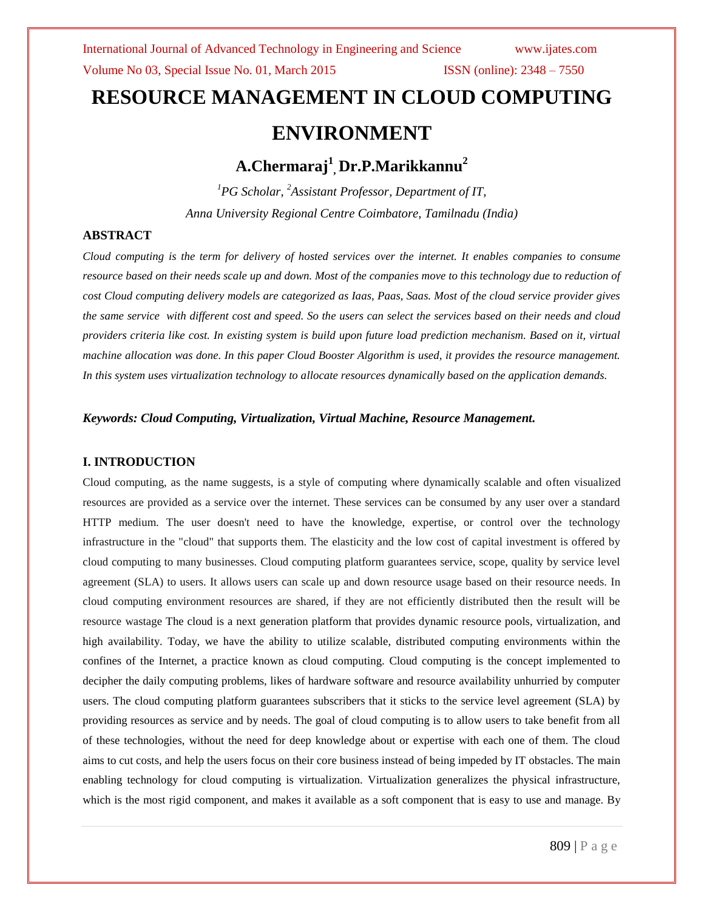# **RESOURCE MANAGEMENT IN CLOUD COMPUTING ENVIRONMENT**

# **A.Chermaraj<sup>1</sup> , Dr.P.Marikkannu<sup>2</sup>**

*<sup>1</sup>PG Scholar, <sup>2</sup>Assistant Professor, Department of IT, Anna University Regional Centre Coimbatore, Tamilnadu (India)*

# **ABSTRACT**

*Cloud computing is the term for delivery of hosted services over the internet. It enables companies to consume resource based on their needs scale up and down. Most of the companies move to this technology due to reduction of cost Cloud computing delivery models are categorized as Iaas, Paas, Saas. Most of the cloud service provider gives the same service with different cost and speed. So the users can select the services based on their needs and cloud providers criteria like cost. In existing system is build upon future load prediction mechanism. Based on it, virtual machine allocation was done. In this paper Cloud Booster Algorithm is used, it provides the resource management. In this system uses virtualization technology to allocate resources dynamically based on the application demands.*

# *Keywords: Cloud Computing, Virtualization, Virtual Machine, Resource Management.*

# **I. INTRODUCTION**

Cloud computing, as the name suggests, is a style of computing where dynamically scalable and often visualized resources are provided as a service over the internet. These services can be consumed by any user over a standard HTTP medium. The user doesn't need to have the knowledge, expertise, or control over the technology infrastructure in the "cloud" that supports them. The elasticity and the low cost of capital investment is offered by cloud computing to many businesses. Cloud computing platform guarantees service, scope, quality by service level agreement (SLA) to users. It allows users can scale up and down resource usage based on their resource needs. In cloud computing environment resources are shared, if they are not efficiently distributed then the result will be resource wastage The cloud is a next generation platform that provides dynamic resource pools, virtualization, and high availability. Today, we have the ability to utilize scalable, distributed computing environments within the confines of the Internet, a practice known as cloud computing. Cloud computing is the concept implemented to decipher the daily computing problems, likes of hardware software and resource availability unhurried by computer users. The cloud computing platform guarantees subscribers that it sticks to the service level agreement (SLA) by providing resources as service and by needs. The goal of cloud computing is to allow users to take benefit from all of these technologies, without the need for deep knowledge about or expertise with each one of them. The cloud aims to cut costs, and help the users focus on their core business instead of being impeded by IT obstacles. The main enabling technology for cloud computing is virtualization. Virtualization generalizes the physical infrastructure, which is the most rigid component, and makes it available as a soft component that is easy to use and manage. By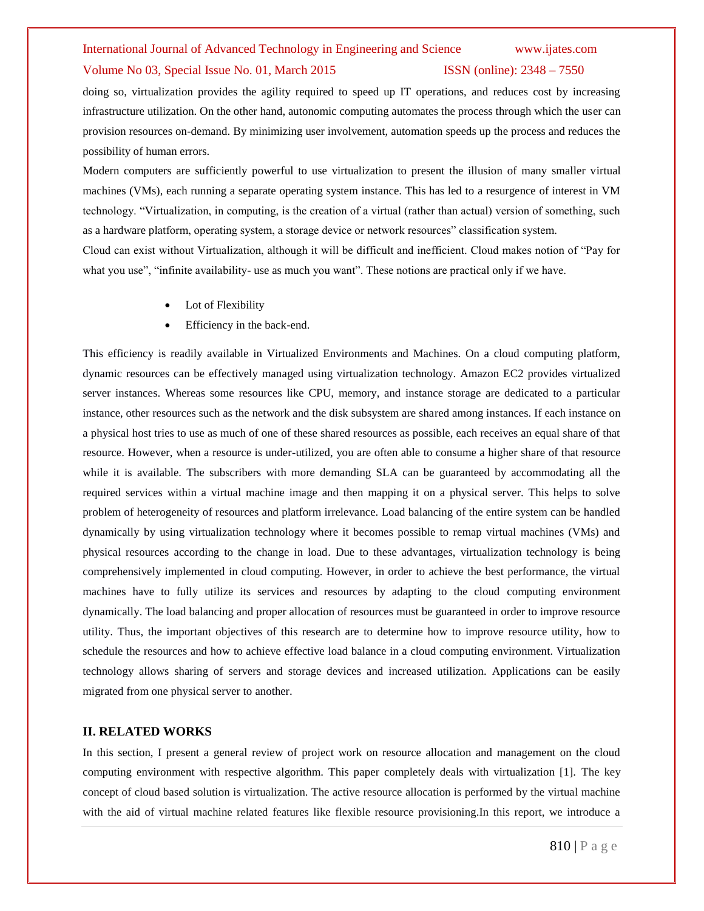### Volume No 03, Special Issue No. 01, March 2015 **ISSN** (online): 2348 – 7550

doing so, virtualization provides the agility required to speed up IT operations, and reduces cost by increasing infrastructure utilization. On the other hand, autonomic computing automates the process through which the user can provision resources on-demand. By minimizing user involvement, automation speeds up the process and reduces the possibility of human errors.

Modern computers are sufficiently powerful to use virtualization to present the illusion of many smaller virtual machines (VMs), each running a separate operating system instance. This has led to a resurgence of interest in VM technology. "Virtualization, in computing, is the creation of a virtual (rather than actual) version of something, such as a hardware platform, operating system, a storage device or network resources" classification system.

Cloud can exist without Virtualization, although it will be difficult and inefficient. Cloud makes notion of "Pay for what you use", "infinite availability- use as much you want". These notions are practical only if we have.

- Lot of Flexibility
- Efficiency in the back-end.

This efficiency is readily available in Virtualized Environments and Machines. On a cloud computing platform, dynamic resources can be effectively managed using virtualization technology. Amazon EC2 provides virtualized server instances. Whereas some resources like CPU, memory, and instance storage are dedicated to a particular instance, other resources such as the network and the disk subsystem are shared among instances. If each instance on a physical host tries to use as much of one of these shared resources as possible, each receives an equal share of that resource. However, when a resource is under-utilized, you are often able to consume a higher share of that resource while it is available. The subscribers with more demanding SLA can be guaranteed by accommodating all the required services within a virtual machine image and then mapping it on a physical server. This helps to solve problem of heterogeneity of resources and platform irrelevance. Load balancing of the entire system can be handled dynamically by using virtualization technology where it becomes possible to remap virtual machines (VMs) and physical resources according to the change in load. Due to these advantages, virtualization technology is being comprehensively implemented in cloud computing. However, in order to achieve the best performance, the virtual machines have to fully utilize its services and resources by adapting to the cloud computing environment dynamically. The load balancing and proper allocation of resources must be guaranteed in order to improve resource utility. Thus, the important objectives of this research are to determine how to improve resource utility, how to schedule the resources and how to achieve effective load balance in a cloud computing environment. Virtualization technology allows sharing of servers and storage devices and increased utilization. Applications can be easily migrated from one physical server to another.

### **II. RELATED WORKS**

In this section, I present a general review of project work on resource allocation and management on the cloud computing environment with respective algorithm. This paper completely deals with virtualization [1]. The key concept of cloud based solution is virtualization. The active resource allocation is performed by the virtual machine with the aid of virtual machine related features like flexible resource provisioning.In this report, we introduce a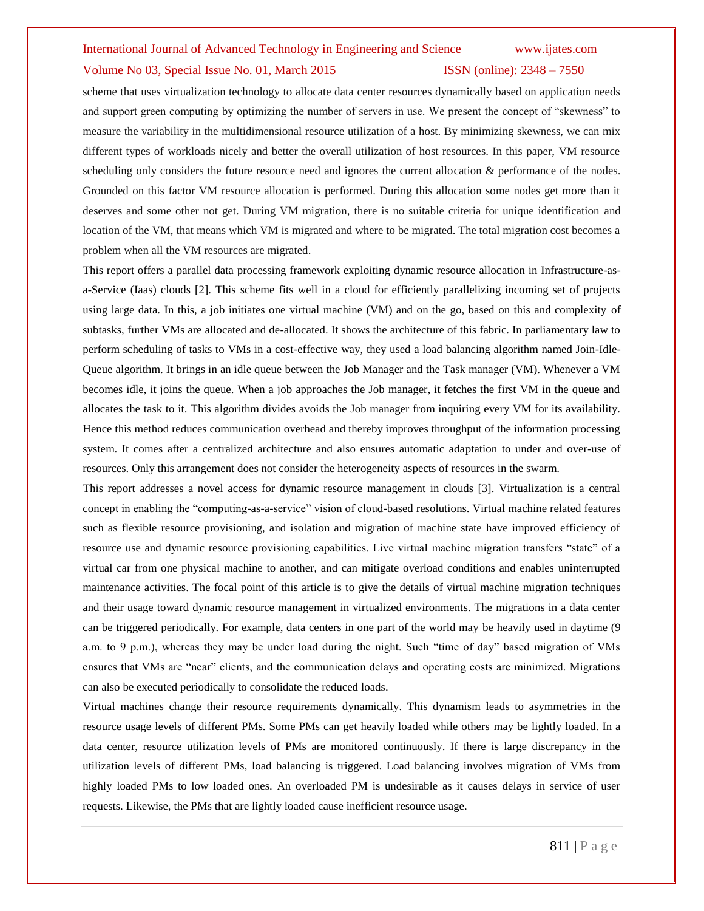### Volume No 03, Special Issue No. 01, March 2015 **ISSN** (online): 2348 – 7550

scheme that uses virtualization technology to allocate data center resources dynamically based on application needs and support green computing by optimizing the number of servers in use. We present the concept of "skewness" to measure the variability in the multidimensional resource utilization of a host. By minimizing skewness, we can mix different types of workloads nicely and better the overall utilization of host resources. In this paper, VM resource scheduling only considers the future resource need and ignores the current allocation & performance of the nodes. Grounded on this factor VM resource allocation is performed. During this allocation some nodes get more than it deserves and some other not get. During VM migration, there is no suitable criteria for unique identification and location of the VM, that means which VM is migrated and where to be migrated. The total migration cost becomes a problem when all the VM resources are migrated.

This report offers a parallel data processing framework exploiting dynamic resource allocation in Infrastructure-asa-Service (Iaas) clouds [2]. This scheme fits well in a cloud for efficiently parallelizing incoming set of projects using large data. In this, a job initiates one virtual machine (VM) and on the go, based on this and complexity of subtasks, further VMs are allocated and de-allocated. It shows the architecture of this fabric. In parliamentary law to perform scheduling of tasks to VMs in a cost-effective way, they used a load balancing algorithm named Join-Idle-Queue algorithm. It brings in an idle queue between the Job Manager and the Task manager (VM). Whenever a VM becomes idle, it joins the queue. When a job approaches the Job manager, it fetches the first VM in the queue and allocates the task to it. This algorithm divides avoids the Job manager from inquiring every VM for its availability. Hence this method reduces communication overhead and thereby improves throughput of the information processing system. It comes after a centralized architecture and also ensures automatic adaptation to under and over-use of resources. Only this arrangement does not consider the heterogeneity aspects of resources in the swarm.

This report addresses a novel access for dynamic resource management in clouds [3]. Virtualization is a central concept in enabling the "computing-as-a-service" vision of cloud-based resolutions. Virtual machine related features such as flexible resource provisioning, and isolation and migration of machine state have improved efficiency of resource use and dynamic resource provisioning capabilities. Live virtual machine migration transfers "state" of a virtual car from one physical machine to another, and can mitigate overload conditions and enables uninterrupted maintenance activities. The focal point of this article is to give the details of virtual machine migration techniques and their usage toward dynamic resource management in virtualized environments. The migrations in a data center can be triggered periodically. For example, data centers in one part of the world may be heavily used in daytime (9 a.m. to 9 p.m.), whereas they may be under load during the night. Such "time of day" based migration of VMs ensures that VMs are "near" clients, and the communication delays and operating costs are minimized. Migrations can also be executed periodically to consolidate the reduced loads.

Virtual machines change their resource requirements dynamically. This dynamism leads to asymmetries in the resource usage levels of different PMs. Some PMs can get heavily loaded while others may be lightly loaded. In a data center, resource utilization levels of PMs are monitored continuously. If there is large discrepancy in the utilization levels of different PMs, load balancing is triggered. Load balancing involves migration of VMs from highly loaded PMs to low loaded ones. An overloaded PM is undesirable as it causes delays in service of user requests. Likewise, the PMs that are lightly loaded cause inefficient resource usage.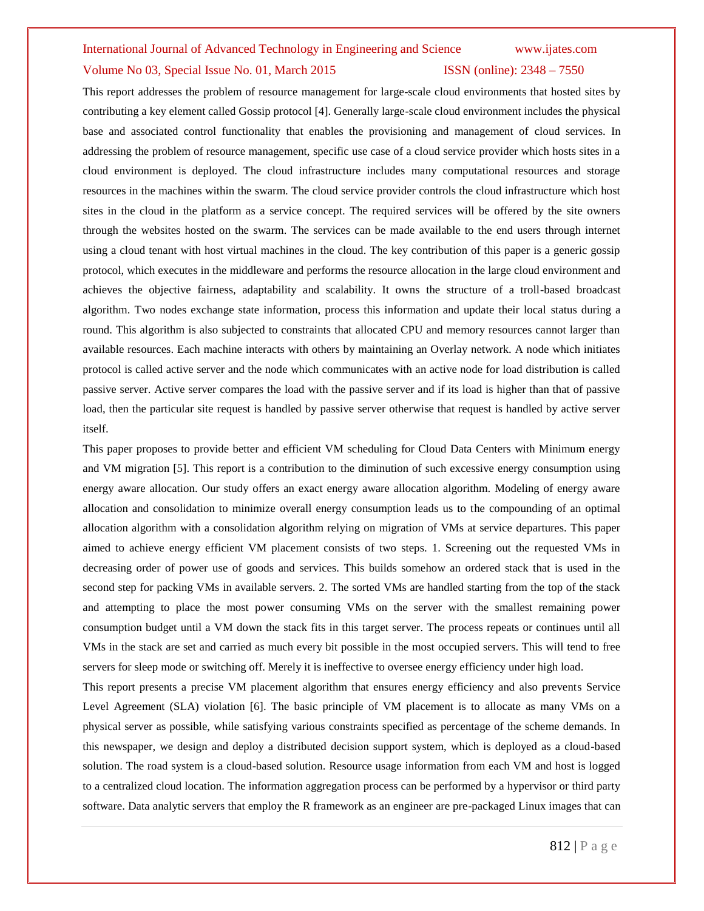### Volume No 03, Special Issue No. 01, March 2015 **ISSN** (online): 2348 – 7550

This report addresses the problem of resource management for large-scale cloud environments that hosted sites by contributing a key element called Gossip protocol [4]. Generally large-scale cloud environment includes the physical base and associated control functionality that enables the provisioning and management of cloud services. In addressing the problem of resource management, specific use case of a cloud service provider which hosts sites in a cloud environment is deployed. The cloud infrastructure includes many computational resources and storage resources in the machines within the swarm. The cloud service provider controls the cloud infrastructure which host sites in the cloud in the platform as a service concept. The required services will be offered by the site owners through the websites hosted on the swarm. The services can be made available to the end users through internet using a cloud tenant with host virtual machines in the cloud. The key contribution of this paper is a generic gossip protocol, which executes in the middleware and performs the resource allocation in the large cloud environment and achieves the objective fairness, adaptability and scalability. It owns the structure of a troll-based broadcast algorithm. Two nodes exchange state information, process this information and update their local status during a round. This algorithm is also subjected to constraints that allocated CPU and memory resources cannot larger than available resources. Each machine interacts with others by maintaining an Overlay network. A node which initiates protocol is called active server and the node which communicates with an active node for load distribution is called passive server. Active server compares the load with the passive server and if its load is higher than that of passive load, then the particular site request is handled by passive server otherwise that request is handled by active server itself.

This paper proposes to provide better and efficient VM scheduling for Cloud Data Centers with Minimum energy and VM migration [5]. This report is a contribution to the diminution of such excessive energy consumption using energy aware allocation. Our study offers an exact energy aware allocation algorithm. Modeling of energy aware allocation and consolidation to minimize overall energy consumption leads us to the compounding of an optimal allocation algorithm with a consolidation algorithm relying on migration of VMs at service departures. This paper aimed to achieve energy efficient VM placement consists of two steps. 1. Screening out the requested VMs in decreasing order of power use of goods and services. This builds somehow an ordered stack that is used in the second step for packing VMs in available servers. 2. The sorted VMs are handled starting from the top of the stack and attempting to place the most power consuming VMs on the server with the smallest remaining power consumption budget until a VM down the stack fits in this target server. The process repeats or continues until all VMs in the stack are set and carried as much every bit possible in the most occupied servers. This will tend to free servers for sleep mode or switching off. Merely it is ineffective to oversee energy efficiency under high load.

This report presents a precise VM placement algorithm that ensures energy efficiency and also prevents Service Level Agreement (SLA) violation [6]. The basic principle of VM placement is to allocate as many VMs on a physical server as possible, while satisfying various constraints specified as percentage of the scheme demands. In this newspaper, we design and deploy a distributed decision support system, which is deployed as a cloud-based solution. The road system is a cloud-based solution. Resource usage information from each VM and host is logged to a centralized cloud location. The information aggregation process can be performed by a hypervisor or third party software. Data analytic servers that employ the R framework as an engineer are pre-packaged Linux images that can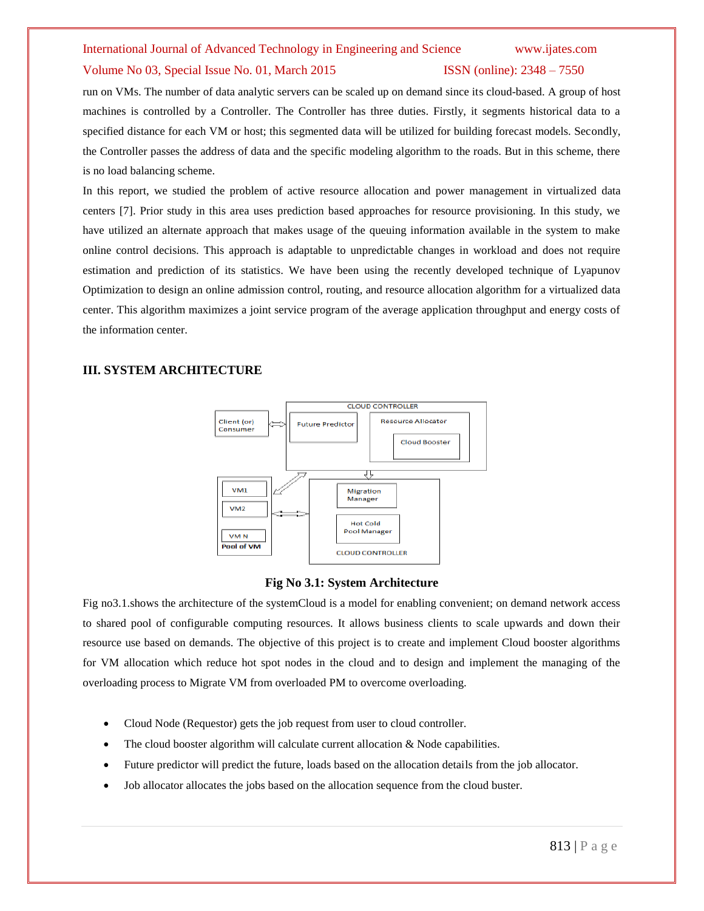### Volume No 03, Special Issue No. 01, March 2015 **ISSN** (online): 2348 – 7550

run on VMs. The number of data analytic servers can be scaled up on demand since its cloud-based. A group of host machines is controlled by a Controller. The Controller has three duties. Firstly, it segments historical data to a specified distance for each VM or host; this segmented data will be utilized for building forecast models. Secondly, the Controller passes the address of data and the specific modeling algorithm to the roads. But in this scheme, there is no load balancing scheme.

In this report, we studied the problem of active resource allocation and power management in virtualized data centers [7]. Prior study in this area uses prediction based approaches for resource provisioning. In this study, we have utilized an alternate approach that makes usage of the queuing information available in the system to make online control decisions. This approach is adaptable to unpredictable changes in workload and does not require estimation and prediction of its statistics. We have been using the recently developed technique of Lyapunov Optimization to design an online admission control, routing, and resource allocation algorithm for a virtualized data center. This algorithm maximizes a joint service program of the average application throughput and energy costs of the information center.

# **III. SYSTEM ARCHITECTURE**



## **Fig No 3.1: System Architecture**

Fig no3.1.shows the architecture of the systemCloud is a model for enabling convenient; on demand network access to shared pool of configurable computing resources. It allows business clients to scale upwards and down their resource use based on demands. The objective of this project is to create and implement Cloud booster algorithms for VM allocation which reduce hot spot nodes in the cloud and to design and implement the managing of the overloading process to Migrate VM from overloaded PM to overcome overloading.

- Cloud Node (Requestor) gets the job request from user to cloud controller.
- The cloud booster algorithm will calculate current allocation  $\&$  Node capabilities.
- Future predictor will predict the future, loads based on the allocation details from the job allocator.
- Job allocator allocates the jobs based on the allocation sequence from the cloud buster.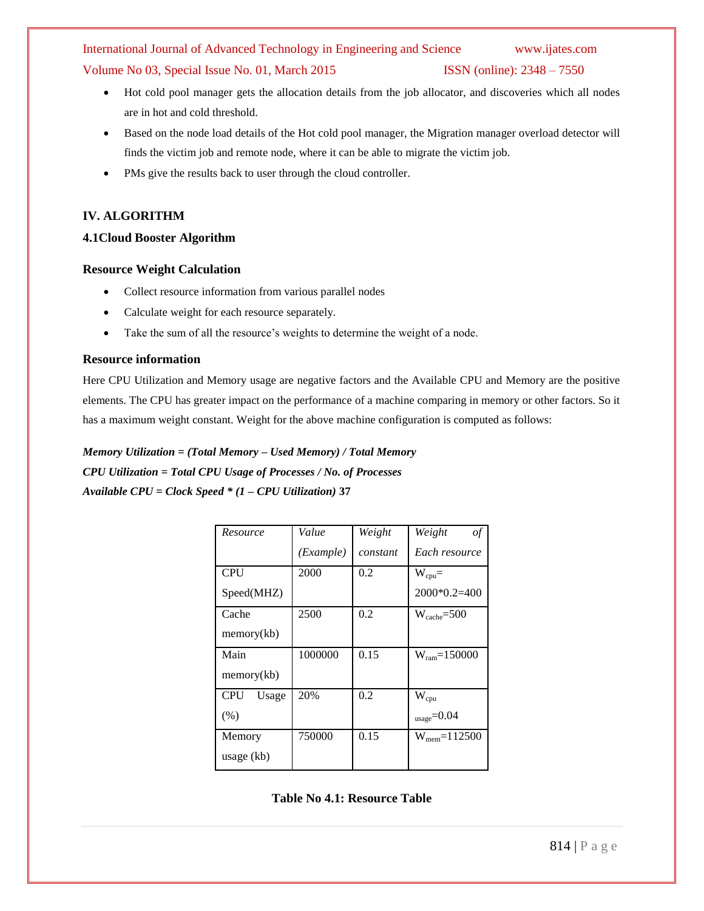Volume No 03, Special Issue No. 01, March 2015 ISSN (online): 2348 – 7550

- Hot cold pool manager gets the allocation details from the job allocator, and discoveries which all nodes are in hot and cold threshold.
- Based on the node load details of the Hot cold pool manager, the Migration manager overload detector will finds the victim job and remote node, where it can be able to migrate the victim job.
- PMs give the results back to user through the cloud controller.

# **IV. ALGORITHM**

# **4.1Cloud Booster Algorithm**

# **Resource Weight Calculation**

- Collect resource information from various parallel nodes
- Calculate weight for each resource separately.
- Take the sum of all the resource's weights to determine the weight of a node.

# **Resource information**

Here CPU Utilization and Memory usage are negative factors and the Available CPU and Memory are the positive elements. The CPU has greater impact on the performance of a machine comparing in memory or other factors. So it has a maximum weight constant. Weight for the above machine configuration is computed as follows:

# *Memory Utilization = (Total Memory – Used Memory) / Total Memory*

*CPU Utilization = Total CPU Usage of Processes / No. of Processes Available CPU = Clock Speed \* (1 – CPU Utilization)* **37** 

| Resource            | Value     | Weight   | Weight<br>οf              |
|---------------------|-----------|----------|---------------------------|
|                     | (Example) | constant | Each resource             |
| <b>CPU</b>          | 2000      | 0.2      | $W_{cpu} =$               |
| Speed(MHZ)          |           |          | $2000*0.2=400$            |
| Cache               | 2500      | 0.2      | $W_{\text{cache}} = 500$  |
| memory(kb)          |           |          |                           |
| Main                | 1000000   | 0.15     | $W_{\text{ram}} = 150000$ |
| memory(kb)          |           |          |                           |
| <b>CPU</b><br>Usage | 20%       | 0.2      | $W_{cpu}$                 |
| (% )                |           |          | $_{\rm usage} = 0.04$     |
| Memory              | 750000    | 0.15     | $W_{\text{mem}} = 112500$ |
| usage (kb)          |           |          |                           |

**Table No 4.1: Resource Table**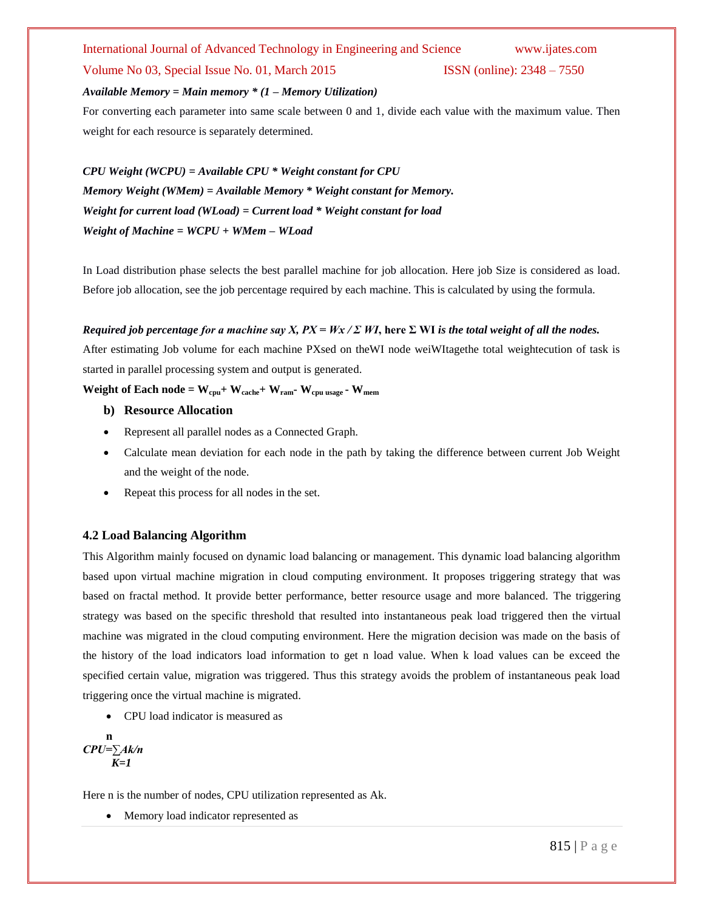## Volume No 03, Special Issue No. 01, March 2015 **ISSN** (online): 2348 – 7550

## *Available Memory = Main memory \* (1 – Memory Utilization)*

For converting each parameter into same scale between 0 and 1, divide each value with the maximum value. Then weight for each resource is separately determined.

*CPU Weight (WCPU) = Available CPU \* Weight constant for CPU Memory Weight (WMem) = Available Memory \* Weight constant for Memory. Weight for current load (WLoad) = Current load \* Weight constant for load Weight of Machine = WCPU + WMem – WLoad*

In Load distribution phase selects the best parallel machine for job allocation. Here job Size is considered as load. Before job allocation, see the job percentage required by each machine. This is calculated by using the formula.

# *Required job percentage for a machine say X,*  $PX = Wx / \Sigma WI$ *, here*  $\Sigma WI$  *is the total weight of all the nodes.*

After estimating Job volume for each machine PXsed on theWI node weiWItagethe total weightecution of task is started in parallel processing system and output is generated.

# **Weight of Each node =**  $W_{\text{cpu}} + W_{\text{cache}} + W_{\text{ram}}$  **<b>W**<sub>cpu usage</sub>  $\cdot W_{\text{mem}}$

- **b) Resource Allocation**
- Represent all parallel nodes as a Connected Graph.
- Calculate mean deviation for each node in the path by taking the difference between current Job Weight and the weight of the node.
- Repeat this process for all nodes in the set.

# **4.2 Load Balancing Algorithm**

This Algorithm mainly focused on dynamic load balancing or management. This dynamic load balancing algorithm based upon virtual machine migration in cloud computing environment. It proposes triggering strategy that was based on fractal method. It provide better performance, better resource usage and more balanced. The triggering strategy was based on the specific threshold that resulted into instantaneous peak load triggered then the virtual machine was migrated in the cloud computing environment. Here the migration decision was made on the basis of the history of the load indicators load information to get n load value. When k load values can be exceed the specified certain value, migration was triggered. Thus this strategy avoids the problem of instantaneous peak load triggering once the virtual machine is migrated.

CPU load indicator is measured as

$$
\begin{array}{c}\n\mathbf{n} \\
\mathbf{C}PU=\sum Ak/n \\
\mathbf{K}=\mathbf{I}\n\end{array}
$$

Here n is the number of nodes, CPU utilization represented as Ak.

• Memory load indicator represented as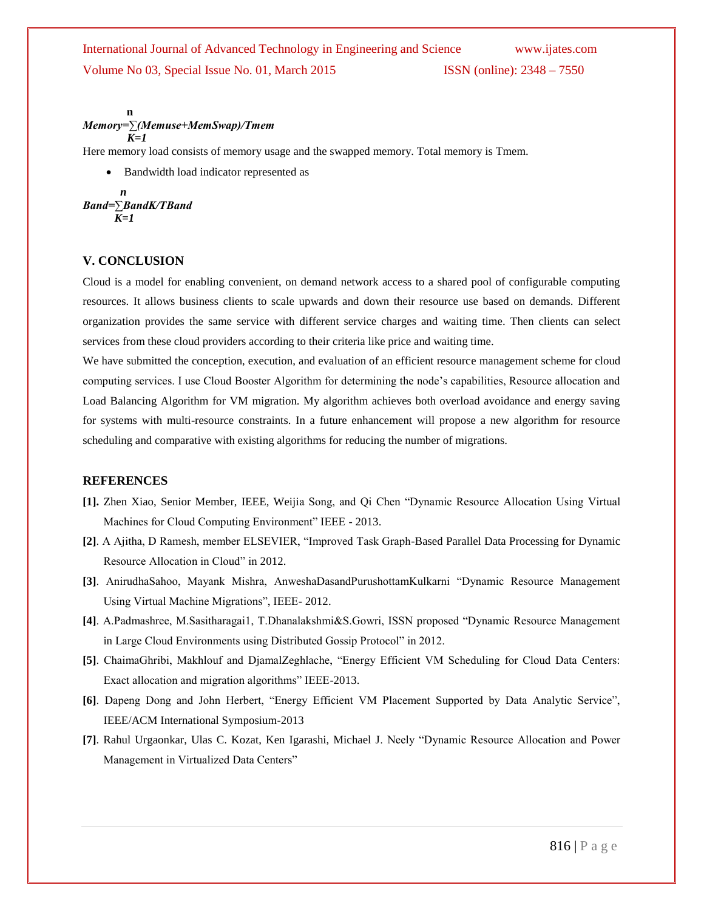**n** *Memory=∑(Memuse+MemSwap)/Tmem K=1*

Here memory load consists of memory usage and the swapped memory. Total memory is Tmem.

Bandwidth load indicator represented as

$$
A
$$
  
Band=\n
$$
\sum_{K=1}^{n}B
$$
  
BandK/TB and

# **V. CONCLUSION**

Cloud is a model for enabling convenient, on demand network access to a shared pool of configurable computing resources. It allows business clients to scale upwards and down their resource use based on demands. Different organization provides the same service with different service charges and waiting time. Then clients can select services from these cloud providers according to their criteria like price and waiting time.

We have submitted the conception, execution, and evaluation of an efficient resource management scheme for cloud computing services. I use Cloud Booster Algorithm for determining the node's capabilities, Resource allocation and Load Balancing Algorithm for VM migration. My algorithm achieves both overload avoidance and energy saving for systems with multi-resource constraints. In a future enhancement will propose a new algorithm for resource scheduling and comparative with existing algorithms for reducing the number of migrations.

# **REFERENCES**

- **[1].** Zhen Xiao, Senior Member, IEEE, Weijia Song, and Qi Chen "Dynamic Resource Allocation Using Virtual Machines for Cloud Computing Environment" IEEE - 2013.
- **[2]**. A Ajitha, D Ramesh, member ELSEVIER, "Improved Task Graph-Based Parallel Data Processing for Dynamic Resource Allocation in Cloud" in 2012.
- **[3]**. AnirudhaSahoo, Mayank Mishra, AnweshaDasandPurushottamKulkarni "Dynamic Resource Management Using Virtual Machine Migrations", IEEE- 2012.
- **[4]**. A.Padmashree, M.Sasitharagai1, T.Dhanalakshmi&S.Gowri, ISSN proposed "Dynamic Resource Management in Large Cloud Environments using Distributed Gossip Protocol" in 2012.
- **[5]**. ChaimaGhribi, Makhlouf and DjamalZeghlache, "Energy Efficient VM Scheduling for Cloud Data Centers: Exact allocation and migration algorithms" IEEE-2013.
- **[6]**. Dapeng Dong and John Herbert, "Energy Efficient VM Placement Supported by Data Analytic Service", IEEE/ACM International Symposium-2013
- **[7]**. Rahul Urgaonkar, Ulas C. Kozat, Ken Igarashi, Michael J. Neely "Dynamic Resource Allocation and Power Management in Virtualized Data Centers"